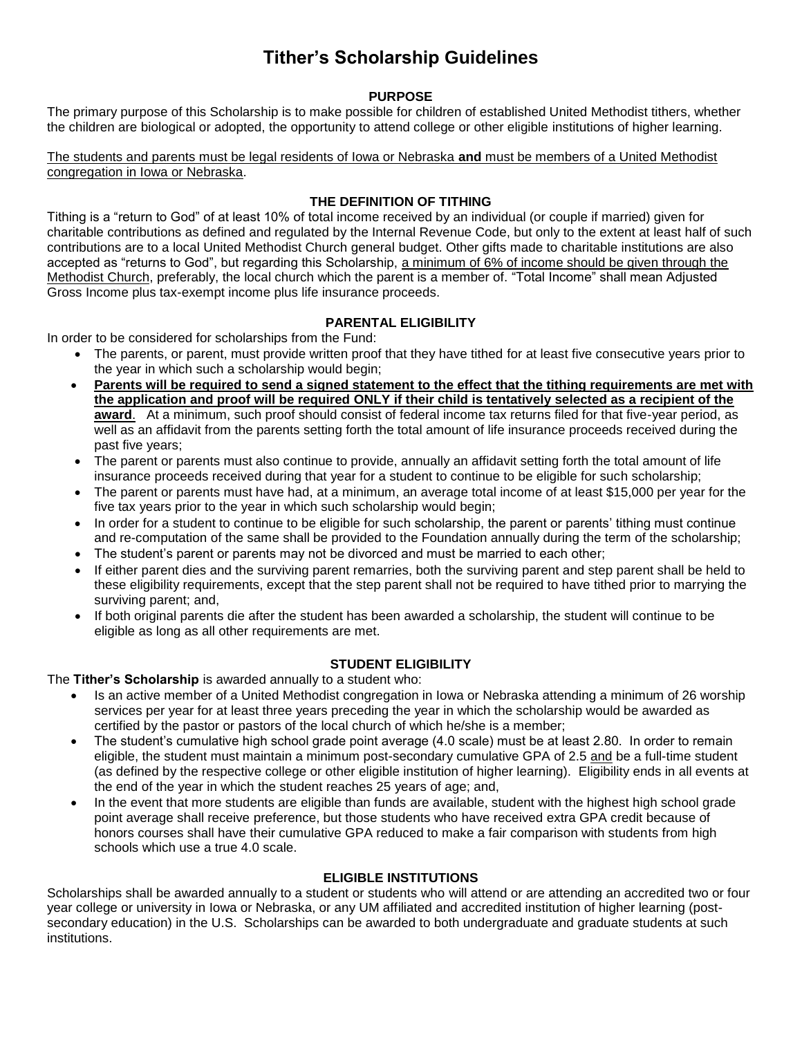# **Tither's Scholarship Guidelines**

# **PURPOSE**

The primary purpose of this Scholarship is to make possible for children of established United Methodist tithers, whether the children are biological or adopted, the opportunity to attend college or other eligible institutions of higher learning.

The students and parents must be legal residents of Iowa or Nebraska **and** must be members of a United Methodist congregation in Iowa or Nebraska.

# **THE DEFINITION OF TITHING**

Tithing is a "return to God" of at least 10% of total income received by an individual (or couple if married) given for charitable contributions as defined and regulated by the Internal Revenue Code, but only to the extent at least half of such contributions are to a local United Methodist Church general budget. Other gifts made to charitable institutions are also accepted as "returns to God", but regarding this Scholarship, a minimum of 6% of income should be given through the Methodist Church, preferably, the local church which the parent is a member of. "Total Income" shall mean Adjusted Gross Income plus tax-exempt income plus life insurance proceeds.

# **PARENTAL ELIGIBILITY**

In order to be considered for scholarships from the Fund:

- The parents, or parent, must provide written proof that they have tithed for at least five consecutive years prior to the year in which such a scholarship would begin;
- **Parents will be required to send a signed statement to the effect that the tithing requirements are met with the application and proof will be required ONLY if their child is tentatively selected as a recipient of the award**. At a minimum, such proof should consist of federal income tax returns filed for that five-year period, as well as an affidavit from the parents setting forth the total amount of life insurance proceeds received during the past five years;
- The parent or parents must also continue to provide, annually an affidavit setting forth the total amount of life insurance proceeds received during that year for a student to continue to be eligible for such scholarship;
- The parent or parents must have had, at a minimum, an average total income of at least \$15,000 per year for the five tax years prior to the year in which such scholarship would begin;
- In order for a student to continue to be eligible for such scholarship, the parent or parents' tithing must continue and re-computation of the same shall be provided to the Foundation annually during the term of the scholarship;
- The student's parent or parents may not be divorced and must be married to each other;
- If either parent dies and the surviving parent remarries, both the surviving parent and step parent shall be held to these eligibility requirements, except that the step parent shall not be required to have tithed prior to marrying the surviving parent; and,
- If both original parents die after the student has been awarded a scholarship, the student will continue to be eligible as long as all other requirements are met.

#### **STUDENT ELIGIBILITY**

The **Tither's Scholarship** is awarded annually to a student who:

- Is an active member of a United Methodist congregation in Iowa or Nebraska attending a minimum of 26 worship services per year for at least three years preceding the year in which the scholarship would be awarded as certified by the pastor or pastors of the local church of which he/she is a member;
- The student's cumulative high school grade point average (4.0 scale) must be at least 2.80. In order to remain eligible, the student must maintain a minimum post-secondary cumulative GPA of 2.5 and be a full-time student (as defined by the respective college or other eligible institution of higher learning). Eligibility ends in all events at the end of the year in which the student reaches 25 years of age; and,
- In the event that more students are eligible than funds are available, student with the highest high school grade point average shall receive preference, but those students who have received extra GPA credit because of honors courses shall have their cumulative GPA reduced to make a fair comparison with students from high schools which use a true 4.0 scale.

#### **ELIGIBLE INSTITUTIONS**

Scholarships shall be awarded annually to a student or students who will attend or are attending an accredited two or four year college or university in Iowa or Nebraska, or any UM affiliated and accredited institution of higher learning (postsecondary education) in the U.S. Scholarships can be awarded to both undergraduate and graduate students at such institutions.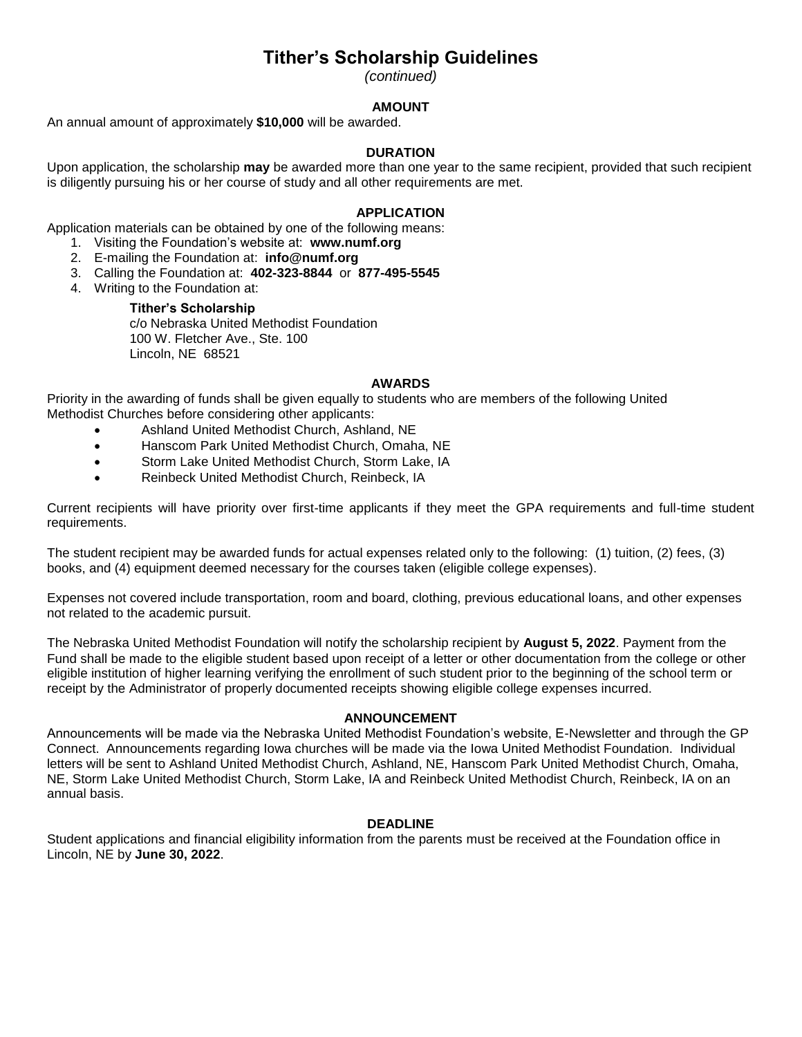# **Tither's Scholarship Guidelines**

*(continued)*

## **AMOUNT**

An annual amount of approximately **\$10,000** will be awarded.

## **DURATION**

Upon application, the scholarship **may** be awarded more than one year to the same recipient, provided that such recipient is diligently pursuing his or her course of study and all other requirements are met.

### **APPLICATION**

Application materials can be obtained by one of the following means:

- 1. Visiting the Foundation's website at: **www.numf.org**
- 2. E-mailing the Foundation at: **info@numf.org**
- 3. Calling the Foundation at: **402-323-8844** or **877-495-5545**
- 4. Writing to the Foundation at:

# **Tither's Scholarship**

c/o Nebraska United Methodist Foundation 100 W. Fletcher Ave., Ste. 100 Lincoln, NE 68521

#### **AWARDS**

Priority in the awarding of funds shall be given equally to students who are members of the following United Methodist Churches before considering other applicants:

- Ashland United Methodist Church, Ashland, NE
- Hanscom Park United Methodist Church, Omaha, NE
- Storm Lake United Methodist Church, Storm Lake, IA
- Reinbeck United Methodist Church, Reinbeck, IA

Current recipients will have priority over first-time applicants if they meet the GPA requirements and full-time student requirements.

The student recipient may be awarded funds for actual expenses related only to the following: (1) tuition, (2) fees, (3) books, and (4) equipment deemed necessary for the courses taken (eligible college expenses).

Expenses not covered include transportation, room and board, clothing, previous educational loans, and other expenses not related to the academic pursuit.

The Nebraska United Methodist Foundation will notify the scholarship recipient by **August 5, 2022**. Payment from the Fund shall be made to the eligible student based upon receipt of a letter or other documentation from the college or other eligible institution of higher learning verifying the enrollment of such student prior to the beginning of the school term or receipt by the Administrator of properly documented receipts showing eligible college expenses incurred.

#### **ANNOUNCEMENT**

Announcements will be made via the Nebraska United Methodist Foundation's website, E-Newsletter and through the GP Connect. Announcements regarding Iowa churches will be made via the Iowa United Methodist Foundation. Individual letters will be sent to Ashland United Methodist Church, Ashland, NE, Hanscom Park United Methodist Church, Omaha, NE, Storm Lake United Methodist Church, Storm Lake, IA and Reinbeck United Methodist Church, Reinbeck, IA on an annual basis.

#### **DEADLINE**

Student applications and financial eligibility information from the parents must be received at the Foundation office in Lincoln, NE by **June 30, 2022**.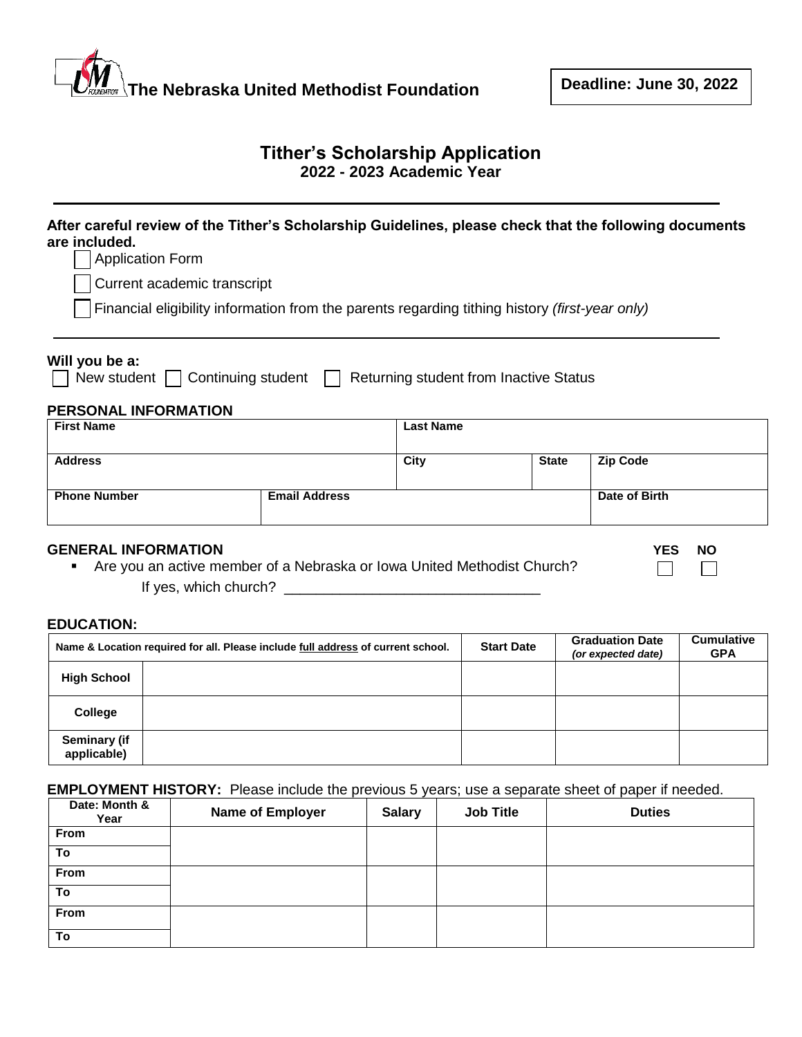# **The Nebraska United Methodist Foundation**

 $\Box$ 

 $\Box$ 

# **Tither's Scholarship Application 2022 - 2023 Academic Year**

| are included.<br><b>Application Form</b>                     |                    |                                                                                                       |                  |                                        | After careful review of the Tither's Scholarship Guidelines, please check that the following documents |
|--------------------------------------------------------------|--------------------|-------------------------------------------------------------------------------------------------------|------------------|----------------------------------------|--------------------------------------------------------------------------------------------------------|
| Current academic transcript                                  |                    |                                                                                                       |                  |                                        |                                                                                                        |
|                                                              |                    | Financial eligibility information from the parents regarding tithing history <i>(first-year only)</i> |                  |                                        |                                                                                                        |
| Will you be a:<br>New student<br><b>PERSONAL INFORMATION</b> | Continuing student |                                                                                                       |                  | Returning student from Inactive Status |                                                                                                        |
| <b>First Name</b>                                            |                    |                                                                                                       | <b>Last Name</b> |                                        |                                                                                                        |
| <b>Address</b>                                               |                    |                                                                                                       | City             | <b>State</b>                           | <b>Zip Code</b>                                                                                        |
| <b>Phone Number</b>                                          |                    | <b>Email Address</b>                                                                                  |                  |                                        | Date of Birth                                                                                          |

# **GENERAL INFORMATION YES NO**

| Are you an active member of a Nebraska or lowa United Methodist Church? |  |  |
|-------------------------------------------------------------------------|--|--|
| If yes, which church?                                                   |  |  |

#### **EDUCATION:**

| Name & Location required for all. Please include full address of current school. |  | <b>Start Date</b> | <b>Graduation Date</b><br>(or expected date) | <b>Cumulative</b><br><b>GPA</b> |
|----------------------------------------------------------------------------------|--|-------------------|----------------------------------------------|---------------------------------|
| <b>High School</b>                                                               |  |                   |                                              |                                 |
| College                                                                          |  |                   |                                              |                                 |
| <b>Seminary (if</b><br>applicable)                                               |  |                   |                                              |                                 |

# **EMPLOYMENT HISTORY:** Please include the previous 5 years; use a separate sheet of paper if needed.

| Date: Month &<br>Year | Name of Employer | <b>Salary</b> | <b>Job Title</b> | <b>Duties</b> |
|-----------------------|------------------|---------------|------------------|---------------|
| From                  |                  |               |                  |               |
| To                    |                  |               |                  |               |
| From                  |                  |               |                  |               |
| To                    |                  |               |                  |               |
| From                  |                  |               |                  |               |
| To                    |                  |               |                  |               |